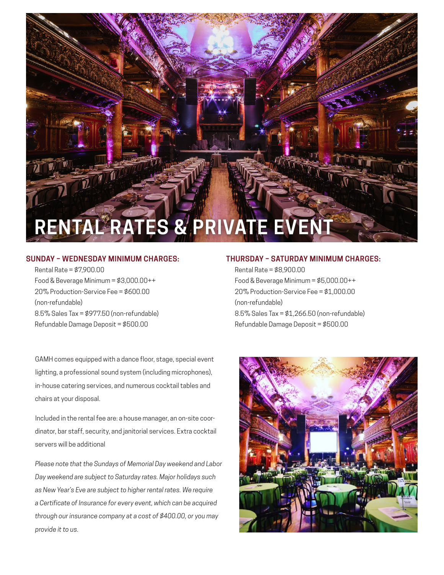

#### **SUNDAY – WEDNESDAY MINIMUM CHARGES:**

Rental Rate = \$7,900.00 Food & Beverage Minimum = \$3,000.00++ 20% Production-Service Fee = \$600.00 (non-refundable) 8.5% Sales Tax = \$977.50 (non-refundable) Refundable Damage Deposit = \$500.00

GAMH comes equipped with a dance floor, stage, special event lighting, a professional sound system (including microphones), in-house catering services, and numerous cocktail tables and chairs at your disposal.

Included in the rental fee are: a house manager, an on-site coordinator, bar staff, security, and janitorial services. Extra cocktail servers will be additional

*Please note that the Sundays of Memorial Day weekend and Labor Day weekend are subject to Saturday rates. Major holidays such as New Year's Eve are subject to higher rental rates. We require a Certificate of Insurance for every event, which can be acquired through our insurance company at a cost of \$400.00, or you may provide it to us.*

#### **THURSDAY – SATURDAY MINIMUM CHARGES:**

Rental Rate = \$8,900.00 Food & Beverage Minimum = \$5,000.00++ 20% Production-Service Fee = \$1,000.00 (non-refundable) 8.5% Sales Tax = \$1,266.50 (non-refundable) Refundable Damage Deposit = \$500.00